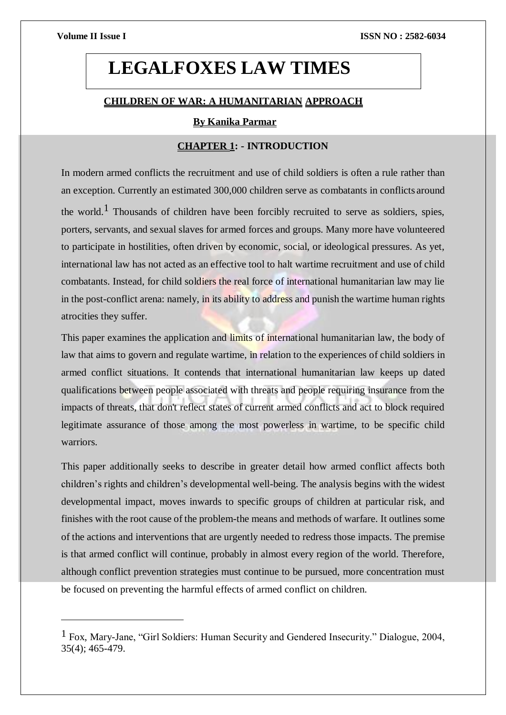# **LEGALFOXES LAW TIMES**

## **CHILDREN OF WAR: A HUMANITARIAN APPROACH**

## **By Kanika Parmar**

## **CHAPTER 1: - INTRODUCTION**

In modern armed conflicts the recruitment and use of child soldiers is often a rule rather than an exception. Currently an estimated 300,000 children serve as combatants in conflicts around the world.<sup>1</sup> Thousands of children have been forcibly recruited to serve as soldiers, spies, porters, servants, and sexual slaves for armed forces and groups. Many more have volunteered to participate in hostilities, often driven by economic, social, or ideological pressures. As yet, international law has not acted as an effective tool to halt wartime recruitment and use of child combatants. Instead, for child soldiers the real force of international humanitarian law may lie in the post-conflict arena: namely, in its ability to address and punish the wartime human rights atrocities they suffer.

This paper examines the application and limits of international humanitarian law, the body of law that aims to govern and regulate wartime, in relation to the experiences of child soldiers in armed conflict situations. It contends that international humanitarian law keeps up dated qualifications between people associated with threats and people requiring insurance from the impacts of threats, that don't reflect states of current armed conflicts and act to block required legitimate assurance of those among the most powerless in wartime, to be specific child warriors.

This paper additionally seeks to describe in greater detail how armed conflict affects both children's rights and children's developmental well-being. The analysis begins with the widest developmental impact, moves inwards to specific groups of children at particular risk, and finishes with the root cause of the problem-the means and methods of warfare. It outlines some of the actions and interventions that are urgently needed to redress those impacts. The premise is that armed conflict will continue, probably in almost every region of the world. Therefore, although conflict prevention strategies must continue to be pursued, more concentration must be focused on preventing the harmful effects of armed conflict on children.

 $<sup>1</sup>$  Fox, Mary-Jane, "Girl Soldiers: Human Security and Gendered Insecurity." Dialogue, 2004,</sup> 35(4); 465-479.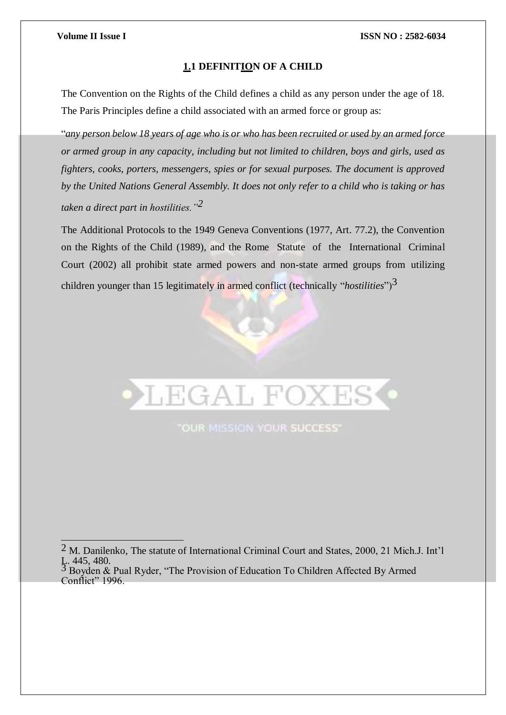## **1.1 DEFINITION OF A CHILD**

The [Convention on the Rights of the Child d](https://en.wikipedia.org/wiki/Convention_on_the_Rights_of_the_Child)efines a child as any person under the age of 18. The [Paris Principles d](https://en.wikipedia.org/wiki/Free_Children_from_War_conference)efine a child associated with an armed force or group as:

"any person below 18 years of age who is or who has been recruited or used by an armed force *or armed group in any capacity, including but not limited to children, boys and girls, used as fighters, cooks, porters, messengers, spies or for sexual purposes. The document is approved by the United Nations General Assembly. It does not only refer to a child who is taking or has taken a direct part in hostilities."2*

The Additional Protocols to the 1949 Geneva Conventions (1977, Art. 77.2), the Convention on the Rights of the Child (1989), and the Rome Statute of the International Criminal Court (2002) all prohibit state armed powers and non-state armed groups from utilizing children younger than 15 legitimately in armed conflict (technically "*hostilities*")3

LEGAL FOXES

"OUR MISSION YOUR SUCCESS"

## $2$  M. Danilenko, The statute of International Criminal Court and States, 2000, 21 Mich.J. Int'l L. 445, 480.<br><sup>3</sup> Boyden & Pual Ryder, "The Provision of Education To Children Affected By Armed

Conflict" 1996.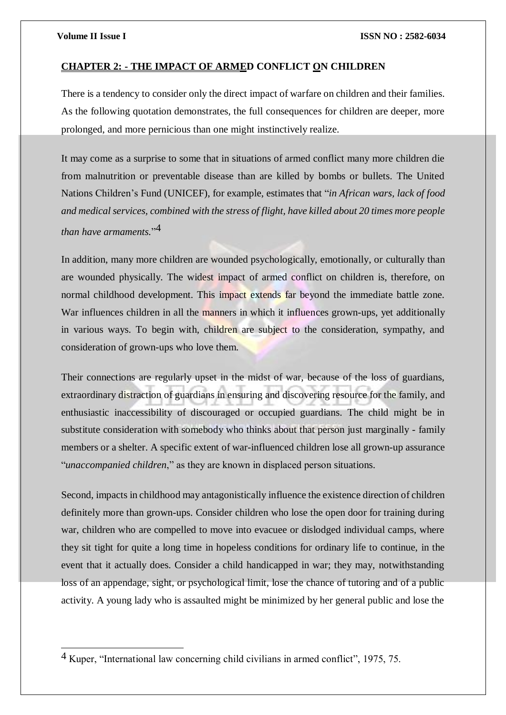## **CHAPTER 2: - THE IMPACT OF ARMED CONFLICT ON CHILDREN**

There is a tendency to consider only the direct impact of warfare on children and their families. As the following quotation demonstrates, the full consequences for children are deeper, more prolonged, and more pernicious than one might instinctively realize.

It may come as a surprise to some that in situations of armed conflict many more children die from malnutrition or preventable disease than are killed by bombs or bullets. The United Nations Children's Fund (UNICEF), for example, estimates that "*in African wars, lack of food and medical services, combined with the stress of flight, have killed about 20 times more people than have armaments.*" 4

In addition, many more children are wounded psychologically, emotionally, or culturally than are wounded physically. The widest impact of armed conflict on children is, therefore, on normal childhood development. This impact extends far beyond the immediate battle zone. War influences children in all the manners in which it influences grown-ups, yet additionally in various ways. To begin with, children are subject to the consideration, sympathy, and consideration of grown-ups who love them.

Their connections are regularly upset in the midst of war, because of the loss of guardians, extraordinary distraction of guardians in ensuring and discovering resource for the family, and enthusiastic inaccessibility of discouraged or occupied guardians. The child might be in substitute consideration with somebody who thinks about that person just marginally - family members or a shelter. A specific extent of war-influenced children lose all grown-up assurance "*unaccompanied children*," as they are known in displaced person situations.

Second, impacts in childhood may antagonistically influence the existence direction of children definitely more than grown-ups. Consider children who lose the open door for training during war, children who are compelled to move into evacuee or dislodged individual camps, where they sit tight for quite a long time in hopeless conditions for ordinary life to continue, in the event that it actually does. Consider a child handicapped in war; they may, notwithstanding loss of an appendage, sight, or psychological limit, lose the chance of tutoring and of a public activity. A young lady who is assaulted might be minimized by her general public and lose the

<sup>4</sup> Kuper, "International law concerning child civilians in armed conflict", 1975, 75.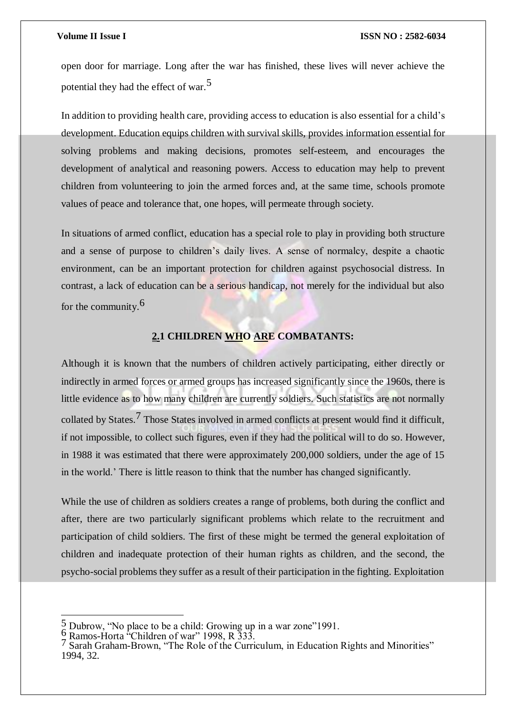open door for marriage. Long after the war has finished, these lives will never achieve the potential they had the effect of war.5

In addition to providing health care, providing access to education is also essential for a child's development. Education equips children with survival skills, provides information essential for solving problems and making decisions, promotes self-esteem, and encourages the development of analytical and reasoning powers. Access to education may help to prevent children from volunteering to join the armed forces and, at the same time, schools promote values of peace and tolerance that, one hopes, will permeate through society.

In situations of armed conflict, education has a special role to play in providing both structure and a sense of purpose to children's daily lives. A sense of normalcy, despite a chaotic environment, can be an important protection for children against psychosocial distress. In contrast, a lack of education can be a serious handicap, not merely for the individual but also for the community.6

## **2.1 CHILDREN WHO ARE COMBATANTS:**

Although it is known that the numbers of children actively participating, either directly or indirectly in armed forces or armed groups has increased significantly since the 1960s, there is little evidence as to how many children are currently soldiers. Such statistics are not normally collated by States.7 Those States involved in armed conflicts at present would find it difficult, if not impossible, to collect such figures, even if they had the political will to do so. However, in 1988 it was estimated that there were approximately 200,000 soldiers, under the age of 15 in the world.' There is little reason to think that the number has changed significantly.

While the use of children as soldiers creates a range of problems, both during the conflict and after, there are two particularly significant problems which relate to the recruitment and participation of child soldiers. The first of these might be termed the general exploitation of children and inadequate protection of their human rights as children, and the second, the psycho-social problems they suffer as a result of their participation in the fighting. Exploitation

 $\frac{5}{9}$  Dubrow, "No place to be a child: Growing up in a war zone"1991.<br> $\frac{6}{9}$  Ramos-Horta "Children of war" 1998, R 333.

<sup>&</sup>lt;sup>7</sup> Sarah Graham-Brown, "The Role of the Curriculum, in Education Rights and Minorities" 1994, 32.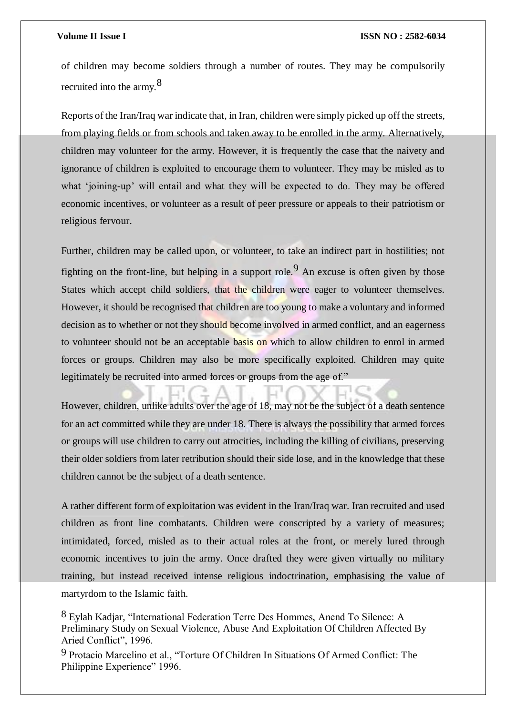of children may become soldiers through a number of routes. They may be compulsorily recruited into the army.<sup>8</sup>

Reports of the Iran/Iraq war indicate that, in Iran, children were simply picked up off the streets, from playing fields or from schools and taken away to be enrolled in the army. Alternatively, children may volunteer for the army. However, it is frequently the case that the naivety and ignorance of children is exploited to encourage them to volunteer. They may be misled as to what 'joining-up' will entail and what they will be expected to do. They may be offered economic incentives, or volunteer as a result of peer pressure or appeals to their patriotism or religious fervour.

Further, children may be called upon, or volunteer, to take an indirect part in hostilities; not fighting on the front-line, but helping in a support role.<sup>9</sup> An excuse is often given by those States which accept child soldiers, that the children were eager to volunteer themselves. However, it should be recognised that children are too young to make a voluntary and informed decision as to whether or not they should become involved in armed conflict, and an eagerness to volunteer should not be an acceptable basis on which to allow children to enrol in armed forces or groups. Children may also be more specifically exploited. Children may quite legitimately be recruited into armed forces or groups from the age of."

However, children, unlike adults over the age of 18, may not be the subject of a death sentence for an act committed while they are under 18. There is always the possibility that armed forces or groups will use children to carry out atrocities, including the killing of civilians, preserving their older soldiers from later retribution should their side lose, and in the knowledge that these children cannot be the subject of a death sentence.

A rather different form of exploitation was evident in the Iran/Iraq war. Iran recruited and used children as front line combatants. Children were conscripted by a variety of measures; intimidated, forced, misled as to their actual roles at the front, or merely lured through economic incentives to join the army. Once drafted they were given virtually no military training, but instead received intense religious indoctrination, emphasising the value of martyrdom to the Islamic faith.

8 Eylah Kadjar, "International Federation Terre Des Hommes, Anend To Silence: A Preliminary Study on Sexual Violence, Abuse And Exploitation Of Children Affected By Aried Conflict", 1996.

9 Protacio Marcelino et al., "Torture Of Children In Situations Of Armed Conflict: The Philippine Experience" 1996.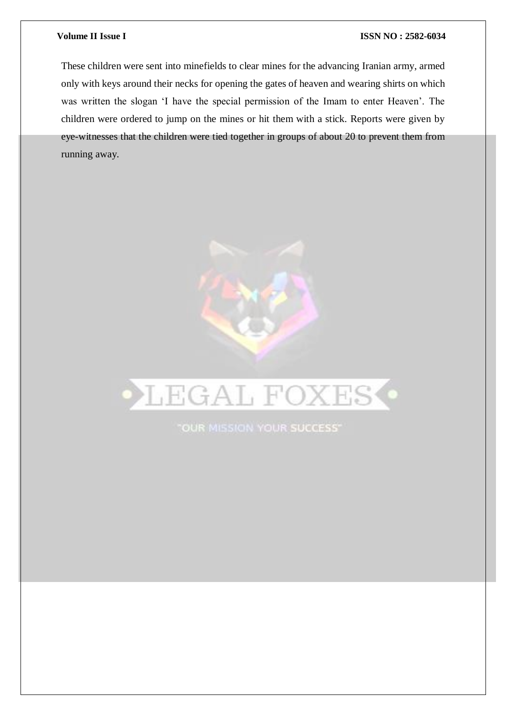These children were sent into minefields to clear mines for the advancing Iranian army, armed only with keys around their necks for opening the gates of heaven and wearing shirts on which was written the slogan 'I have the special permission of the Imam to enter Heaven'. The children were ordered to jump on the mines or hit them with a stick. Reports were given by eye-witnesses that the children were tied together in groups of about 20 to prevent them from running away.





"OUR MISSION YOUR SUCCESS"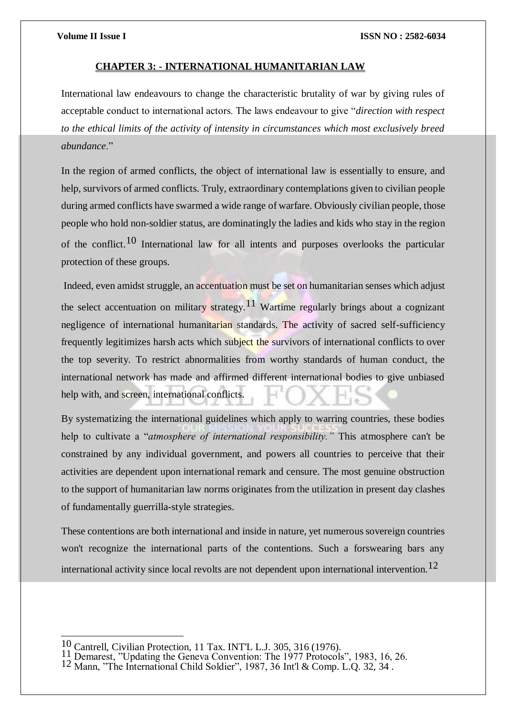## **CHAPTER 3: - INTERNATIONAL HUMANITARIAN LAW**

International law endeavours to change the characteristic brutality of war by giving rules of acceptable conduct to international actors. The laws endeavour to give "*direction with respect to the ethical limits of the activity of intensity in circumstances which most exclusively breed abundance*."

In the region of armed conflicts, the object of international law is essentially to ensure, and help, survivors of armed conflicts. Truly, extraordinary contemplations given to civilian people during armed conflicts have swarmed a wide range of warfare. Obviously civilian people, those people who hold non-soldier status, are dominatingly the ladies and kids who stay in the region of the conflict.<sup>10</sup> International law for all intents and purposes overlooks the particular protection of these groups.

Indeed, even amidst struggle, an accentuation must be set on humanitarian senses which adjust the select accentuation on military strategy.<sup>11</sup> Wartime regularly brings about a cognizant negligence of international humanitarian standards. The activity of sacred self-sufficiency frequently legitimizes harsh acts which subject the survivors of international conflicts to over the top severity. To restrict abnormalities from worthy standards of human conduct, the international network has made and affirmed different international bodies to give unbiased help with, and screen, international conflicts.

By systematizing the international guidelines which apply to warring countries, these bodies help to cultivate a "*atmosphere of international responsibility."* This atmosphere can't be constrained by any individual government, and powers all countries to perceive that their activities are dependent upon international remark and censure. The most genuine obstruction to the support of humanitarian law norms originates from the utilization in present day clashes of fundamentally guerrilla-style strategies.

These contentions are both international and inside in nature, yet numerous sovereign countries won't recognize the international parts of the contentions. Such a forswearing bars any international activity since local revolts are not dependent upon international intervention.<sup>12</sup>

<sup>10</sup> Cantrell, Civilian Protection, 11 Tax. INT'L L.J. 305, 316 (1976).<br>11 Demarest, "Updating the Geneva Convention: The 1977 Protocols", 1983, 16, 26.

<sup>12</sup> Mann, "The International Child Soldier", 1987, 36 Int'l & Comp. L.Q. 32, 34.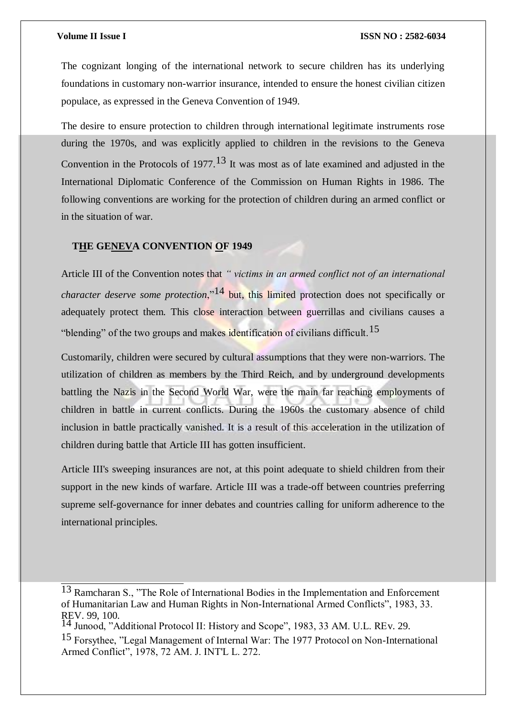The cognizant longing of the international network to secure children has its underlying foundations in customary non-warrior insurance, intended to ensure the honest civilian citizen populace, as expressed in the Geneva Convention of 1949.

The desire to ensure protection to children through international legitimate instruments rose during the 1970s, and was explicitly applied to children in the revisions to the Geneva Convention in the Protocols of 1977.<sup>13</sup> It was most as of late examined and adjusted in the International Diplomatic Conference of the Commission on Human Rights in 1986. The following conventions are working for the protection of children during an armed conflict or in the situation of war.

## **THE GENEVA CONVENTION OF 1949**

Article III of the Convention notes that *" victims in an armed conflict not of an international character deserve some protection*,"<sup>14</sup> but, this limited protection does not specifically or adequately protect them. This close interaction between guerrillas and civilians causes a "blending" of the two groups and makes identification of civilians difficult.15

Customarily, children were secured by cultural assumptions that they were non-warriors. The utilization of children as members by the Third Reich, and by underground developments battling the Nazis in the Second World War, were the main far reaching employments of children in battle in current conflicts. During the 1960s the customary absence of child inclusion in battle practically vanished. It is a result of this acceleration in the utilization of children during battle that Article III has gotten insufficient.

Article III's sweeping insurances are not, at this point adequate to shield children from their support in the new kinds of warfare. Article III was a trade-off between countries preferring supreme self-governance for inner debates and countries calling for uniform adherence to the international principles.

<sup>13</sup> Ramcharan S., "The Role of International Bodies in the Implementation and Enforcement of Humanitarian Law and Human Rights in Non-International Armed Conflicts", 1983, 33. REV. 99, 100.

Junood, "Additional Protocol II: History and Scope", 1983, 33 AM. U.L. REv. 29.

<sup>15</sup> Forsythee, "Legal Management of Internal War: The 1977 Protocol on Non-International Armed Conflict", 1978, 72 AM. J. INT'L L. 272.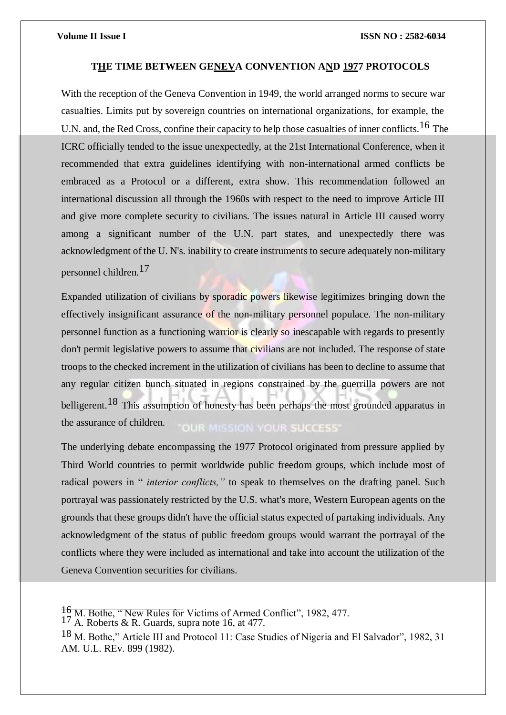## **THE TIME BETWEEN GENEVA CONVENTION AND 1977 PROTOCOLS**

With the reception of the Geneva Convention in 1949, the world arranged norms to secure war casualties. Limits put by sovereign countries on international organizations, for example, the U.N. and, the Red Cross, confine their capacity to help those casualties of inner conflicts.<sup>16</sup> The ICRC officially tended to the issue unexpectedly, at the 21st International Conference, when it recommended that extra guidelines identifying with non-international armed conflicts be embraced as a Protocol or a different, extra show. This recommendation followed an international discussion all through the 1960s with respect to the need to improve Article III and give more complete security to civilians. The issues natural in Article III caused worry among a significant number of the U.N. part states, and unexpectedly there was acknowledgment of the U. N's. inability to create instruments to secure adequately non-military personnel children.17

Expanded utilization of civilians by sporadic powers likewise legitimizes bringing down the effectively insignificant assurance of the non-military personnel populace. The non-military personnel function as a functioning warrior is clearly so inescapable with regards to presently don't permit legislative powers to assume that civilians are not included. The response of state troops to the checked increment in the utilization of civilians has been to decline to assume that any regular citizen bunch situated in regions constrained by the guerrilla powers are not belligerent.<sup>18</sup> This assumption of honesty has been perhaps the most grounded apparatus in the assurance of children. **OUR MISSION YOUR SUCCESS'** 

The underlying debate encompassing the 1977 Protocol originated from pressure applied by Third World countries to permit worldwide public freedom groups, which include most of radical powers in " *interior conflicts,"* to speak to themselves on the drafting panel. Such portrayal was passionately restricted by the U.S. what's more, Western European agents on the grounds that these groups didn't have the official status expected of partaking individuals. Any acknowledgment of the status of public freedom groups would warrant the portrayal of the conflicts where they were included as international and take into account the utilization of the Geneva Convention securities for civilians.

<sup>16</sup> M. Bothe, " New Rules for Victims of Armed Conflict", 1982, 477. 17 A. Roberts & R. Guards, supra note 16, at 477.

<sup>18</sup> M. Bothe," Article III and Protocol 11: Case Studies of Nigeria and El Salvador", 1982, 31 AM. U.L. REv. 899 (1982).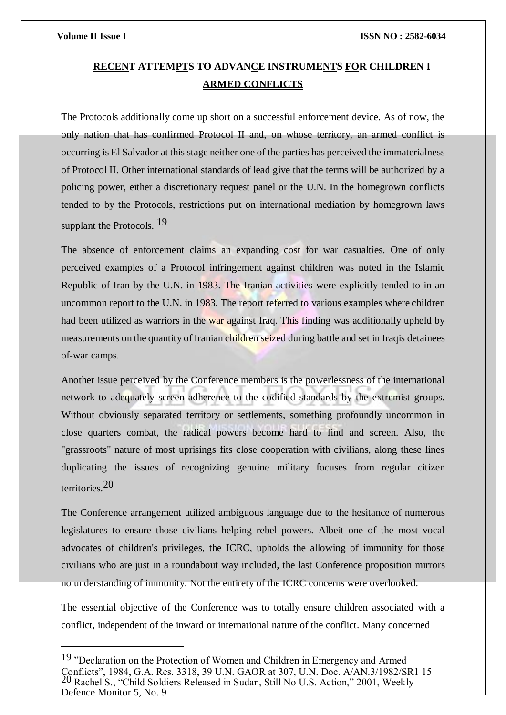## **RECENT ATTEMPTS TO ADVANCE INSTRUMENTS FOR CHILDREN I ARMED CONFLICTS**

The Protocols additionally come up short on a successful enforcement device. As of now, the only nation that has confirmed Protocol II and, on whose territory, an armed conflict is occurring is El Salvador at this stage neither one of the parties has perceived the immaterialness of Protocol II. Other international standards of lead give that the terms will be authorized by a policing power, either a discretionary request panel or the U.N. In the homegrown conflicts tended to by the Protocols, restrictions put on international mediation by homegrown laws supplant the Protocols.<sup>19</sup>

The absence of enforcement claims an expanding cost for war casualties. One of only perceived examples of a Protocol infringement against children was noted in the Islamic Republic of Iran by the U.N. in 1983. The Iranian activities were explicitly tended to in an uncommon report to the U.N. in 1983. The report referred to various examples where children had been utilized as warriors in the war against Iraq. This finding was additionally upheld by measurements on the quantity of Iranian children seized during battle and set in Iraqis detainees of-war camps.

Another issue perceived by the Conference members is the powerlessness of the international network to adequately screen adherence to the codified standards by the extremist groups. Without obviously separated territory or settlements, something profoundly uncommon in close quarters combat, the radical powers become hard to find and screen. Also, the "grassroots" nature of most uprisings fits close cooperation with civilians, along these lines duplicating the issues of recognizing genuine military focuses from regular citizen territories.20

The Conference arrangement utilized ambiguous language due to the hesitance of numerous legislatures to ensure those civilians helping rebel powers. Albeit one of the most vocal advocates of children's privileges, the ICRC, upholds the allowing of immunity for those civilians who are just in a roundabout way included, the last Conference proposition mirrors no understanding of immunity. Not the entirety of the ICRC concerns were overlooked.

The essential objective of the Conference was to totally ensure children associated with a conflict, independent of the inward or international nature of the conflict. Many concerned

<sup>19 &</sup>quot;Declaration on the Protection of Women and Children in Emergency and Armed Conflicts", 1984, G.A. Res. 3318, 39 U.N. GAOR at 307, U.N. Doc. A/AN.3/1982/SR1 15 20 Rachel S., "Child Soldiers Released in Sudan, Still No U.S. Action," 2001, Weekly Defence Monitor 5, No. 9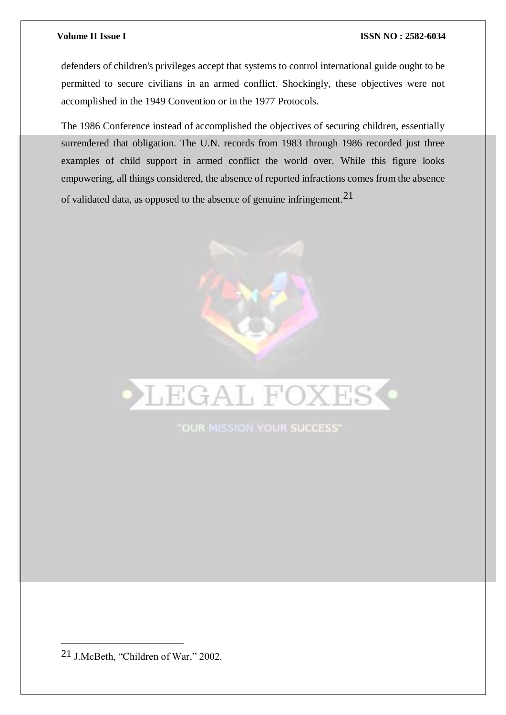defenders of children's privileges accept that systems to control international guide ought to be permitted to secure civilians in an armed conflict. Shockingly, these objectives were not accomplished in the 1949 Convention or in the 1977 Protocols.

The 1986 Conference instead of accomplished the objectives of securing children, essentially surrendered that obligation. The U.N. records from 1983 through 1986 recorded just three examples of child support in armed conflict the world over. While this figure looks empowering, all things considered, the absence of reported infractions comes from the absence of validated data, as opposed to the absence of genuine infringement.21





"OUR MISSION YOUR SUCCESS"

<sup>21</sup> J.McBeth, "Children of War," 2002.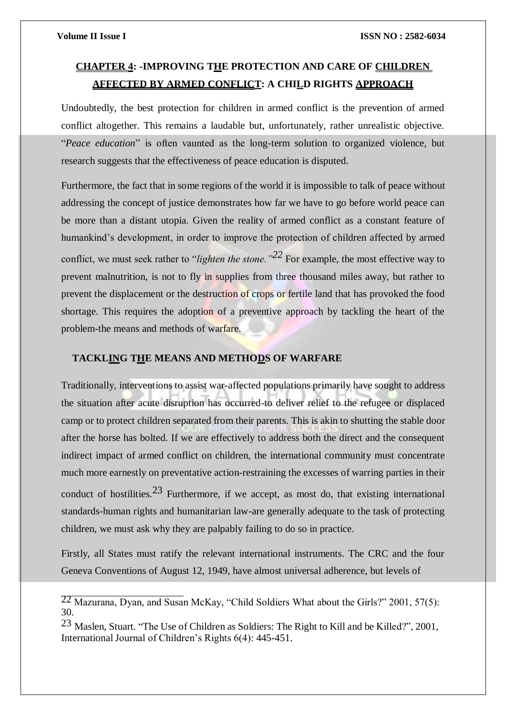## **CHAPTER 4: -IMPROVING THE PROTECTION AND CARE OF CHILDREN AFFECTED BY ARMED CONFLICT: A CHILD RIGHTS APPROACH**

Undoubtedly, the best protection for children in armed conflict is the prevention of armed conflict altogether. This remains a laudable but, unfortunately, rather unrealistic objective. "*Peace education*" is often vaunted as the long-term solution to organized violence, but research suggests that the effectiveness of peace education is disputed.

Furthermore, the fact that in some regions of the world it is impossible to talk of peace without addressing the concept of justice demonstrates how far we have to go before world peace can be more than a distant utopia. Given the reality of armed conflict as a constant feature of humankind's development, in order to improve the protection of children affected by armed conflict, we must seek rather to "*lighten the stone."22* For example, the most effective way to prevent malnutrition, is not to fly in supplies from three thousand miles away, but rather to prevent the displacement or the destruction of crops or fertile land that has provoked the food shortage. This requires the adoption of a preventive approach by tackling the heart of the problem-the means and methods of warfare.

## **TACKLING THE MEANS AND METHODS OF WARFARE**

Traditionally, interventions to assist war-affected populations primarily have sought to address the situation after acute disruption has occurred-to deliver relief to the refugee or displaced camp or to protect children separated from their parents. This is akin to shutting the stable door after the horse has bolted. If we are effectively to address both the direct and the consequent indirect impact of armed conflict on children, the international community must concentrate much more earnestly on preventative action-restraining the excesses of warring parties in their conduct of hostilities.<sup>23</sup> Furthermore, if we accept, as most do, that existing international standards-human rights and humanitarian law-are generally adequate to the task of protecting children, we must ask why they are palpably failing to do so in practice.

Firstly, all States must ratify the relevant international instruments. The CRC and the four Geneva Conventions of August 12, 1949, have almost universal adherence, but levels of

 $22$  Mazurana, Dyan, and Susan McKay, "Child Soldiers What about the Girls?" 2001, 57(5): 30.

<sup>23</sup> Maslen, Stuart. "The Use of Children as Soldiers: The Right to Kill and be Killed?", 2001, International Journal of Children's Rights 6(4): 445-451.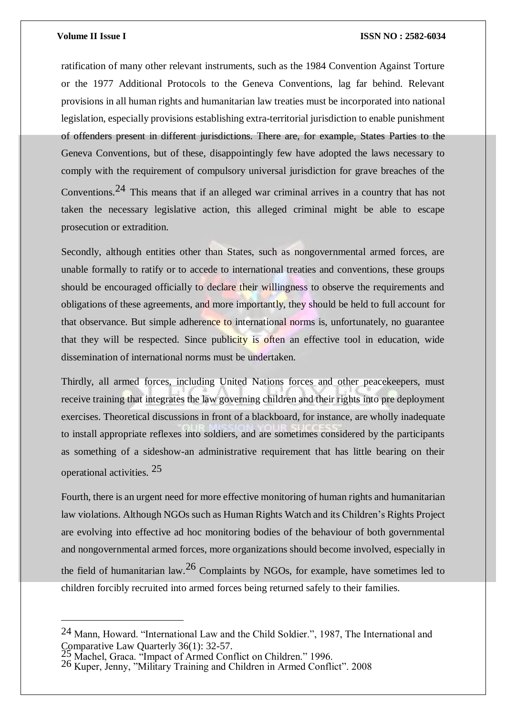ratification of many other relevant instruments, such as the 1984 Convention Against Torture or the 1977 Additional Protocols to the Geneva Conventions, lag far behind. Relevant provisions in all human rights and humanitarian law treaties must be incorporated into national legislation, especially provisions establishing extra-territorial jurisdiction to enable punishment of offenders present in different jurisdictions. There are, for example, States Parties to the Geneva Conventions, but of these, disappointingly few have adopted the laws necessary to comply with the requirement of compulsory universal jurisdiction for grave breaches of the Conventions.24 This means that if an alleged war criminal arrives in a country that has not taken the necessary legislative action, this alleged criminal might be able to escape prosecution or extradition.

Secondly, although entities other than States, such as nongovernmental armed forces, are unable formally to ratify or to accede to international treaties and conventions, these groups should be encouraged officially to declare their willingness to observe the requirements and obligations of these agreements, and more importantly, they should be held to full account for that observance. But simple adherence to international norms is, unfortunately, no guarantee that they will be respected. Since publicity is often an effective tool in education, wide dissemination of international norms must be undertaken.

Thirdly, all armed forces, including United Nations forces and other peacekeepers, must receive training that integrates the law governing children and their rights into pre deployment exercises. Theoretical discussions in front of a blackboard, for instance, are wholly inadequate to install appropriate reflexes into soldiers, and are sometimes considered by the participants as something of a sideshow-an administrative requirement that has little bearing on their operational activities. 25

Fourth, there is an urgent need for more effective monitoring of human rights and humanitarian law violations. Although NGOs such as Human Rights Watch and its Children's Rights Project are evolving into effective ad hoc monitoring bodies of the behaviour of both governmental and nongovernmental armed forces, more organizations should become involved, especially in the field of humanitarian law.<sup>26</sup> Complaints by NGOs, for example, have sometimes led to children forcibly recruited into armed forces being returned safely to their families.

<sup>24</sup> Mann, Howard. "International Law and the Child Soldier.", 1987, The International and Comparative Law Quarterly 36(1): 32-57.

 $\frac{25}{25}$  Machel, Graca. "Impact of Armed Conflict on Children." 1996.

<sup>26</sup> Kuper, Jenny, "Military Training and Children in Armed Conflict". 2008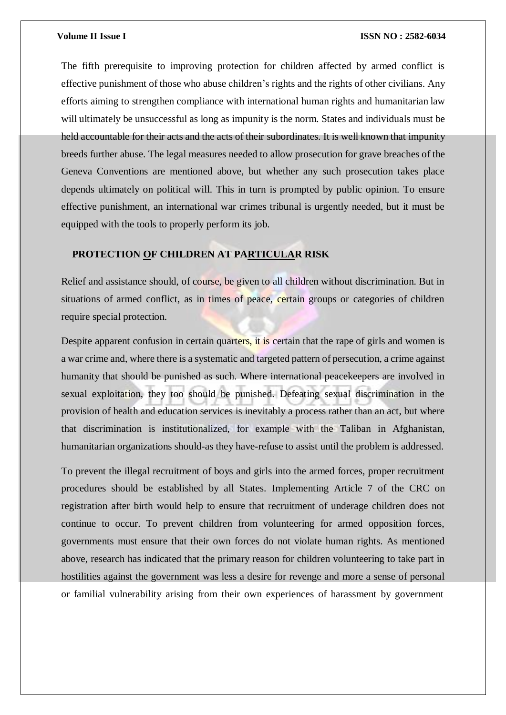The fifth prerequisite to improving protection for children affected by armed conflict is effective punishment of those who abuse children's rights and the rights of other civilians. Any efforts aiming to strengthen compliance with international human rights and humanitarian law will ultimately be unsuccessful as long as impunity is the norm. States and individuals must be held accountable for their acts and the acts of their subordinates. It is well known that impunity breeds further abuse. The legal measures needed to allow prosecution for grave breaches of the Geneva Conventions are mentioned above, but whether any such prosecution takes place depends ultimately on political will. This in turn is prompted by public opinion. To ensure effective punishment, an international war crimes tribunal is urgently needed, but it must be equipped with the tools to properly perform its job.

## **PROTECTION OF CHILDREN AT PARTICULAR RISK**

Relief and assistance should, of course, be given to all children without discrimination. But in situations of armed conflict, as in times of peace, certain groups or categories of children require special protection.

Despite apparent confusion in certain quarters, it is certain that the rape of girls and women is a war crime and, where there is a systematic and targeted pattern of persecution, a crime against humanity that should be punished as such. Where international peacekeepers are involved in sexual exploitation, they too should be punished. Defeating sexual discrimination in the provision of health and education services is inevitably a process rather than an act, but where that discrimination is institutionalized, for example with the Taliban in Afghanistan, humanitarian organizations should-as they have-refuse to assist until the problem is addressed.

To prevent the illegal recruitment of boys and girls into the armed forces, proper recruitment procedures should be established by all States. Implementing Article 7 of the CRC on registration after birth would help to ensure that recruitment of underage children does not continue to occur. To prevent children from volunteering for armed opposition forces, governments must ensure that their own forces do not violate human rights. As mentioned above, research has indicated that the primary reason for children volunteering to take part in hostilities against the government was less a desire for revenge and more a sense of personal or familial vulnerability arising from their own experiences of harassment by government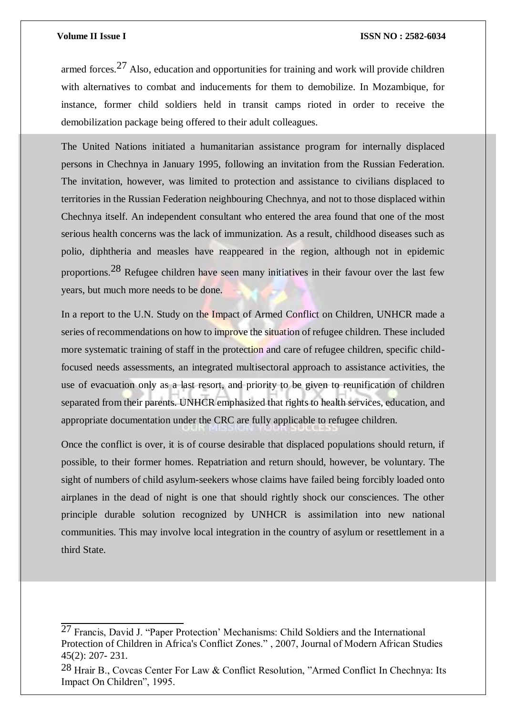armed forces.27 Also, education and opportunities for training and work will provide children with alternatives to combat and inducements for them to demobilize. In Mozambique, for instance, former child soldiers held in transit camps rioted in order to receive the demobilization package being offered to their adult colleagues.

The United Nations initiated a humanitarian assistance program for internally displaced persons in Chechnya in January 1995, following an invitation from the Russian Federation. The invitation, however, was limited to protection and assistance to civilians displaced to territories in the Russian Federation neighbouring Chechnya, and not to those displaced within Chechnya itself. An independent consultant who entered the area found that one of the most serious health concerns was the lack of immunization. As a result, childhood diseases such as polio, diphtheria and measles have reappeared in the region, although not in epidemic proportions.28 Refugee children have seen many initiatives in their favour over the last few years, but much more needs to be done.

In a report to the U.N. Study on the Impact of Armed Conflict on Children, UNHCR made a series of recommendations on how to improve the situation of refugee children. These included more systematic training of staff in the protection and care of refugee children, specific childfocused needs assessments, an integrated multisectoral approach to assistance activities, the use of evacuation only as a last resort, and priority to be given to reunification of children separated from their parents. UNHCR emphasized that rights to health services, education, and appropriate documentation under the CRC are fully applicable to refugee children.

Once the conflict is over, it is of course desirable that displaced populations should return, if possible, to their former homes. Repatriation and return should, however, be voluntary. The sight of numbers of child asylum-seekers whose claims have failed being forcibly loaded onto airplanes in the dead of night is one that should rightly shock our consciences. The other principle durable solution recognized by UNHCR is assimilation into new national communities. This may involve local integration in the country of asylum or resettlement in a third State.

<sup>27</sup> Francis, David J. "Paper Protection' Mechanisms: Child Soldiers and the International Protection of Children in Africa's Conflict Zones." , 2007, Journal of Modern African Studies 45(2): 207- 231.

<sup>28</sup> Hrair B., Covcas Center For Law & Conflict Resolution, "Armed Conflict In Chechnya: Its Impact On Children", 1995.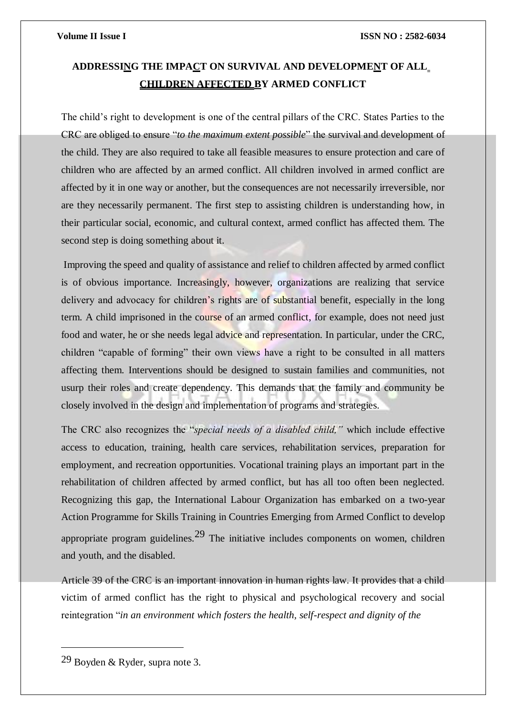## **ADDRESSING THE IMPACT ON SURVIVAL AND DEVELOPMENT OF ALL CHILDREN AFFECTED BY ARMED CONFLICT**

The child's right to development is one of the central pillars of the CRC. States Parties to the CRC are obliged to ensure "*to the maximum extent possible*" the survival and development of the child. They are also required to take all feasible measures to ensure protection and care of children who are affected by an armed conflict. All children involved in armed conflict are affected by it in one way or another, but the consequences are not necessarily irreversible, nor are they necessarily permanent. The first step to assisting children is understanding how, in their particular social, economic, and cultural context, armed conflict has affected them. The second step is doing something about it.

Improving the speed and quality of assistance and relief to children affected by armed conflict is of obvious importance. Increasingly, however, organizations are realizing that service delivery and advocacy for children's rights are of substantial benefit, especially in the long term. A child imprisoned in the course of an armed conflict, for example, does not need just food and water, he or she needs legal advice and representation. In particular, under the CRC, children "capable of forming" their own views have a right to be consulted in all matters affecting them. Interventions should be designed to sustain families and communities, not usurp their roles and create dependency. This demands that the family and community be closely involved in the design and implementation of programs and strategies.

The CRC also recognizes the "*special needs of a disabled child,"* which include effective access to education, training, health care services, rehabilitation services, preparation for employment, and recreation opportunities. Vocational training plays an important part in the rehabilitation of children affected by armed conflict, but has all too often been neglected. Recognizing this gap, the International Labour Organization has embarked on a two-year Action Programme for Skills Training in Countries Emerging from Armed Conflict to develop appropriate program guidelines.<sup>29</sup> The initiative includes components on women, children and youth, and the disabled.

Article 39 of the CRC is an important innovation in human rights law. It provides that a child victim of armed conflict has the right to physical and psychological recovery and social reintegration "*in an environment which fosters the health, self-respect and dignity of the*

<sup>29</sup> Boyden & Ryder, supra note 3.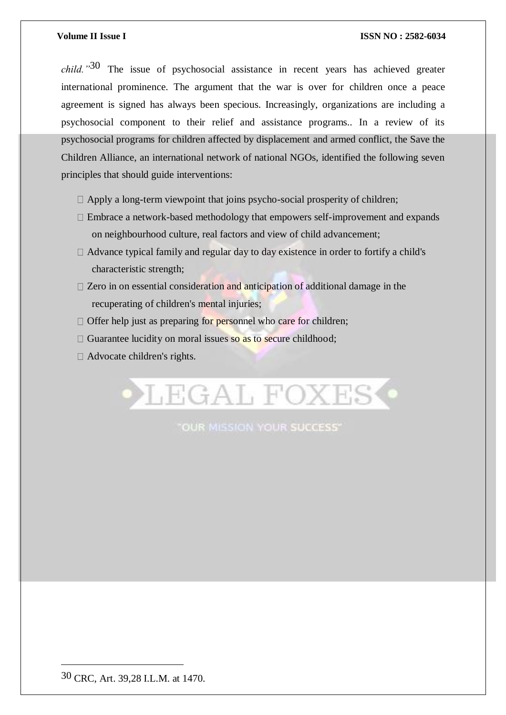*child."*30 The issue of psychosocial assistance in recent years has achieved greater international prominence. The argument that the war is over for children once a peace agreement is signed has always been specious. Increasingly, organizations are including a psychosocial component to their relief and assistance programs.. In a review of its psychosocial programs for children affected by displacement and armed conflict, the Save the Children Alliance, an international network of national NGOs, identified the following seven principles that should guide interventions:

- $\Box$  Apply a long-term viewpoint that joins psycho-social prosperity of children;
- Embrace a network-based methodology that empowers self-improvement and expands on neighbourhood culture, real factors and view of child advancement;
- $\Box$  Advance typical family and regular day to day existence in order to fortify a child's characteristic strength;
- $\Box$  Zero in on essential consideration and anticipation of additional damage in the recuperating of children's mental injuries;
- $\Box$  Offer help just as preparing for personnel who care for children;
- $\Box$  Guarantee lucidity on moral issues so as to secure childhood;
- □ Advocate children's rights.



"OUR MISSION YOUR SUCCESS"

<sup>30</sup> CRC, Art. 39,28 I.L.M. at 1470.